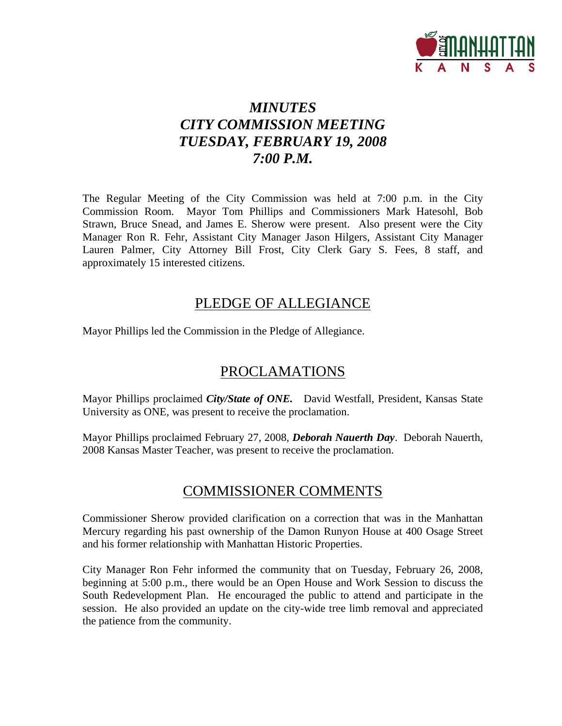

# *MINUTES CITY COMMISSION MEETING TUESDAY, FEBRUARY 19, 2008 7:00 P.M.*

The Regular Meeting of the City Commission was held at 7:00 p.m. in the City Commission Room. Mayor Tom Phillips and Commissioners Mark Hatesohl, Bob Strawn, Bruce Snead, and James E. Sherow were present. Also present were the City Manager Ron R. Fehr, Assistant City Manager Jason Hilgers, Assistant City Manager Lauren Palmer, City Attorney Bill Frost, City Clerk Gary S. Fees, 8 staff, and approximately 15 interested citizens.

## PLEDGE OF ALLEGIANCE

Mayor Phillips led the Commission in the Pledge of Allegiance.

# PROCLAMATIONS

Mayor Phillips proclaimed *City/State of ONE.* David Westfall, President, Kansas State University as ONE, was present to receive the proclamation.

Mayor Phillips proclaimed February 27, 2008, *Deborah Nauerth Day*. Deborah Nauerth, 2008 Kansas Master Teacher, was present to receive the proclamation.

# COMMISSIONER COMMENTS

Commissioner Sherow provided clarification on a correction that was in the Manhattan Mercury regarding his past ownership of the Damon Runyon House at 400 Osage Street and his former relationship with Manhattan Historic Properties.

City Manager Ron Fehr informed the community that on Tuesday, February 26, 2008, beginning at 5:00 p.m., there would be an Open House and Work Session to discuss the South Redevelopment Plan. He encouraged the public to attend and participate in the session. He also provided an update on the city-wide tree limb removal and appreciated the patience from the community.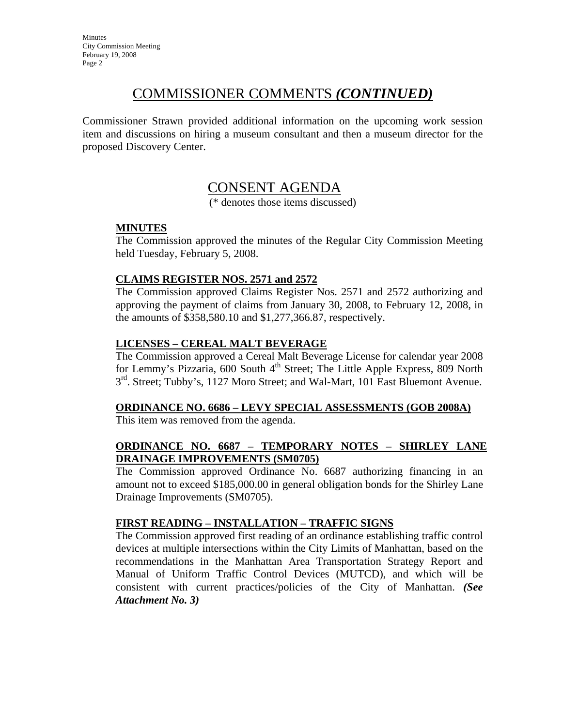# COMMISSIONER COMMENTS *(CONTINUED)*

Commissioner Strawn provided additional information on the upcoming work session item and discussions on hiring a museum consultant and then a museum director for the proposed Discovery Center.

## CONSENT AGENDA

(\* denotes those items discussed)

## **MINUTES**

The Commission approved the minutes of the Regular City Commission Meeting held Tuesday, February 5, 2008.

## **CLAIMS REGISTER NOS. 2571 and 2572**

The Commission approved Claims Register Nos. 2571 and 2572 authorizing and approving the payment of claims from January 30, 2008, to February 12, 2008, in the amounts of \$358,580.10 and \$1,277,366.87, respectively.

## **LICENSES – CEREAL MALT BEVERAGE**

The Commission approved a Cereal Malt Beverage License for calendar year 2008 for Lemmy's Pizzaria,  $600$  South  $4<sup>th</sup>$  Street; The Little Apple Express,  $809$  North  $3<sup>rd</sup>$ . Street; Tubby's, 1127 Moro Street; and Wal-Mart, 101 East Bluemont Avenue.

# **ORDINANCE NO. 6686 – LEVY SPECIAL ASSESSMENTS (GOB 2008A)**

This item was removed from the agenda.

## **ORDINANCE NO. 6687 – TEMPORARY NOTES – SHIRLEY LANE DRAINAGE IMPROVEMENTS (SM0705)**

The Commission approved Ordinance No. 6687 authorizing financing in an amount not to exceed \$185,000.00 in general obligation bonds for the Shirley Lane Drainage Improvements (SM0705).

## **FIRST READING – INSTALLATION – TRAFFIC SIGNS**

The Commission approved first reading of an ordinance establishing traffic control devices at multiple intersections within the City Limits of Manhattan, based on the recommendations in the Manhattan Area Transportation Strategy Report and Manual of Uniform Traffic Control Devices (MUTCD), and which will be consistent with current practices/policies of the City of Manhattan. *(See Attachment No. 3)*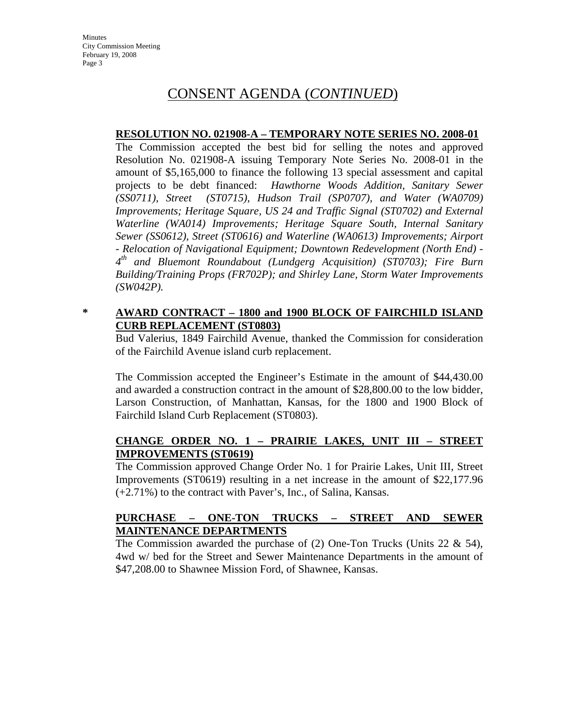# CONSENT AGENDA (*CONTINUED*)

### **RESOLUTION NO. 021908-A – TEMPORARY NOTE SERIES NO. 2008-01**

The Commission accepted the best bid for selling the notes and approved Resolution No. 021908-A issuing Temporary Note Series No. 2008-01 in the amount of \$5,165,000 to finance the following 13 special assessment and capital projects to be debt financed: *Hawthorne Woods Addition, Sanitary Sewer (SS0711), Street (ST0715), Hudson Trail (SP0707), and Water (WA0709) Improvements; Heritage Square, US 24 and Traffic Signal (ST0702) and External Waterline (WA014) Improvements; Heritage Square South, Internal Sanitary Sewer (SS0612), Street (ST0616) and Waterline (WA0613) Improvements; Airport - Relocation of Navigational Equipment; Downtown Redevelopment (North End) - 4th and Bluemont Roundabout (Lundgerg Acquisition) (ST0703); Fire Burn Building/Training Props (FR702P); and Shirley Lane, Storm Water Improvements (SW042P).* 

## **\* AWARD CONTRACT – 1800 and 1900 BLOCK OF FAIRCHILD ISLAND CURB REPLACEMENT (ST0803)**

Bud Valerius, 1849 Fairchild Avenue, thanked the Commission for consideration of the Fairchild Avenue island curb replacement.

The Commission accepted the Engineer's Estimate in the amount of \$44,430.00 and awarded a construction contract in the amount of \$28,800.00 to the low bidder, Larson Construction, of Manhattan, Kansas, for the 1800 and 1900 Block of Fairchild Island Curb Replacement (ST0803).

## **CHANGE ORDER NO. 1 – PRAIRIE LAKES, UNIT III – STREET IMPROVEMENTS (ST0619)**

The Commission approved Change Order No. 1 for Prairie Lakes, Unit III, Street Improvements (ST0619) resulting in a net increase in the amount of \$22,177.96 (+2.71%) to the contract with Paver's, Inc., of Salina, Kansas.

## **PURCHASE – ONE-TON TRUCKS – STREET AND SEWER MAINTENANCE DEPARTMENTS**

The Commission awarded the purchase of  $(2)$  One-Ton Trucks (Units 22 & 54), 4wd w/ bed for the Street and Sewer Maintenance Departments in the amount of \$47,208.00 to Shawnee Mission Ford, of Shawnee, Kansas.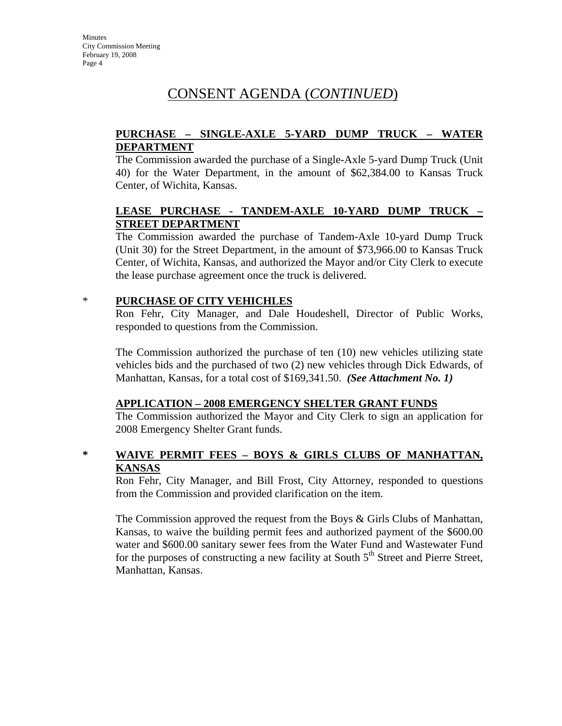# CONSENT AGENDA (*CONTINUED*)

## **PURCHASE – SINGLE-AXLE 5-YARD DUMP TRUCK – WATER DEPARTMENT**

The Commission awarded the purchase of a Single-Axle 5-yard Dump Truck (Unit 40) for the Water Department, in the amount of \$62,384.00 to Kansas Truck Center, of Wichita, Kansas.

## **LEASE PURCHASE - TANDEM-AXLE 10-YARD DUMP TRUCK – STREET DEPARTMENT**

The Commission awarded the purchase of Tandem-Axle 10-yard Dump Truck (Unit 30) for the Street Department, in the amount of \$73,966.00 to Kansas Truck Center, of Wichita, Kansas, and authorized the Mayor and/or City Clerk to execute the lease purchase agreement once the truck is delivered.

## \* **PURCHASE OF CITY VEHICHLES**

Ron Fehr, City Manager, and Dale Houdeshell, Director of Public Works, responded to questions from the Commission.

The Commission authorized the purchase of ten (10) new vehicles utilizing state vehicles bids and the purchased of two (2) new vehicles through Dick Edwards, of Manhattan, Kansas, for a total cost of \$169,341.50. *(See Attachment No. 1)*

## **APPLICATION – 2008 EMERGENCY SHELTER GRANT FUNDS**

The Commission authorized the Mayor and City Clerk to sign an application for 2008 Emergency Shelter Grant funds.

## **\* WAIVE PERMIT FEES – BOYS & GIRLS CLUBS OF MANHATTAN, KANSAS**

Ron Fehr, City Manager, and Bill Frost, City Attorney, responded to questions from the Commission and provided clarification on the item.

The Commission approved the request from the Boys & Girls Clubs of Manhattan, Kansas, to waive the building permit fees and authorized payment of the \$600.00 water and \$600.00 sanitary sewer fees from the Water Fund and Wastewater Fund for the purposes of constructing a new facility at South  $5<sup>th</sup>$  Street and Pierre Street, Manhattan, Kansas.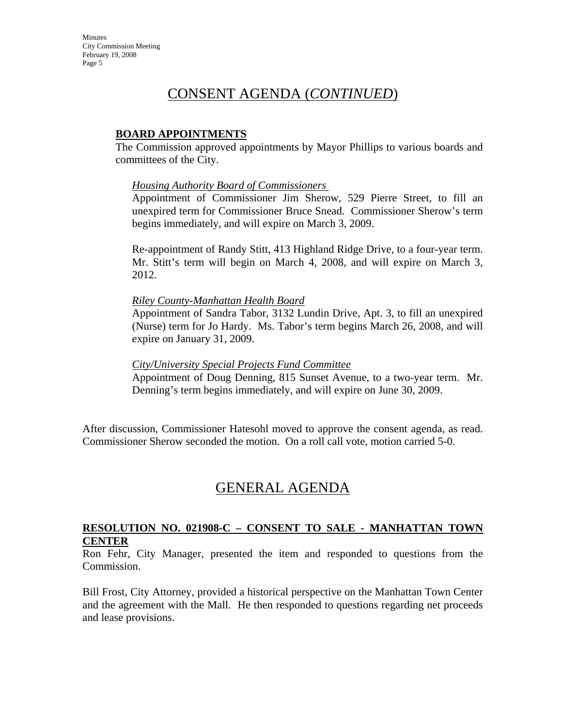**Minutes** City Commission Meeting February 19, 2008 Page 5

## CONSENT AGENDA (*CONTINUED*)

## **BOARD APPOINTMENTS**

The Commission approved appointments by Mayor Phillips to various boards and committees of the City.

#### *Housing Authority Board of Commissioners*

Appointment of Commissioner Jim Sherow, 529 Pierre Street, to fill an unexpired term for Commissioner Bruce Snead. Commissioner Sherow's term begins immediately, and will expire on March 3, 2009.

Re-appointment of Randy Stitt, 413 Highland Ridge Drive, to a four-year term. Mr. Stitt's term will begin on March 4, 2008, and will expire on March 3, 2012.

#### *Riley County-Manhattan Health Board*

Appointment of Sandra Tabor, 3132 Lundin Drive, Apt. 3, to fill an unexpired (Nurse) term for Jo Hardy. Ms. Tabor's term begins March 26, 2008, and will expire on January 31, 2009.

#### *City/University Special Projects Fund Committee*

Appointment of Doug Denning, 815 Sunset Avenue, to a two-year term. Mr. Denning's term begins immediately, and will expire on June 30, 2009.

After discussion, Commissioner Hatesohl moved to approve the consent agenda, as read. Commissioner Sherow seconded the motion. On a roll call vote, motion carried 5-0.

# GENERAL AGENDA

## **RESOLUTION NO. 021908-C – CONSENT TO SALE - MANHATTAN TOWN CENTER**

Ron Fehr, City Manager, presented the item and responded to questions from the Commission.

Bill Frost, City Attorney, provided a historical perspective on the Manhattan Town Center and the agreement with the Mall. He then responded to questions regarding net proceeds and lease provisions.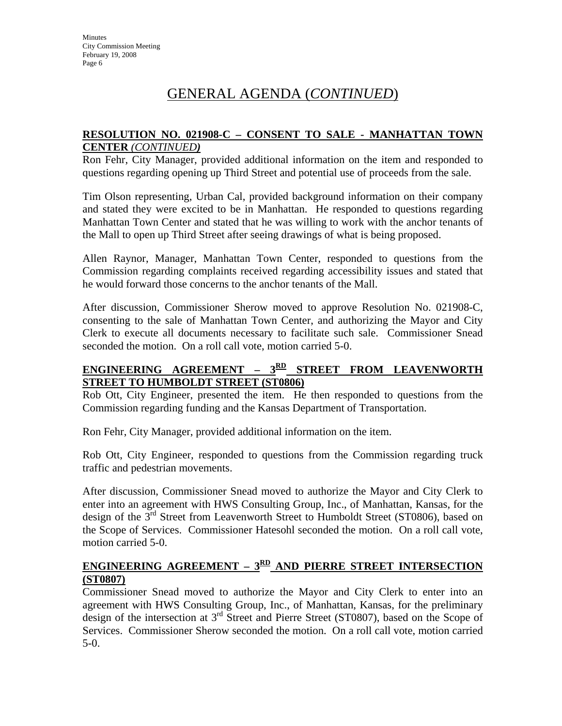# GENERAL AGENDA (*CONTINUED*)

## **RESOLUTION NO. 021908-C – CONSENT TO SALE - MANHATTAN TOWN CENTER** *(CONTINUED)*

Ron Fehr, City Manager, provided additional information on the item and responded to questions regarding opening up Third Street and potential use of proceeds from the sale.

Tim Olson representing, Urban Cal, provided background information on their company and stated they were excited to be in Manhattan. He responded to questions regarding Manhattan Town Center and stated that he was willing to work with the anchor tenants of the Mall to open up Third Street after seeing drawings of what is being proposed.

Allen Raynor, Manager, Manhattan Town Center, responded to questions from the Commission regarding complaints received regarding accessibility issues and stated that he would forward those concerns to the anchor tenants of the Mall.

After discussion, Commissioner Sherow moved to approve Resolution No. 021908-C, consenting to the sale of Manhattan Town Center, and authorizing the Mayor and City Clerk to execute all documents necessary to facilitate such sale. Commissioner Snead seconded the motion. On a roll call vote, motion carried 5-0.

## ENGINEERING AGREEMENT - 3<sup>RD</sup> STREET FROM LEAVENWORTH **STREET TO HUMBOLDT STREET (ST0806)**

Rob Ott, City Engineer, presented the item. He then responded to questions from the Commission regarding funding and the Kansas Department of Transportation.

Ron Fehr, City Manager, provided additional information on the item.

Rob Ott, City Engineer, responded to questions from the Commission regarding truck traffic and pedestrian movements.

After discussion, Commissioner Snead moved to authorize the Mayor and City Clerk to enter into an agreement with HWS Consulting Group, Inc., of Manhattan, Kansas, for the design of the 3<sup>rd</sup> Street from Leavenworth Street to Humboldt Street (ST0806), based on the Scope of Services. Commissioner Hatesohl seconded the motion. On a roll call vote, motion carried 5-0.

## ENGINEERING AGREEMENT - 3<sup>RD</sup> AND PIERRE STREET INTERSECTION **(ST0807)**

Commissioner Snead moved to authorize the Mayor and City Clerk to enter into an agreement with HWS Consulting Group, Inc., of Manhattan, Kansas, for the preliminary design of the intersection at 3rd Street and Pierre Street (ST0807), based on the Scope of Services. Commissioner Sherow seconded the motion. On a roll call vote, motion carried 5-0.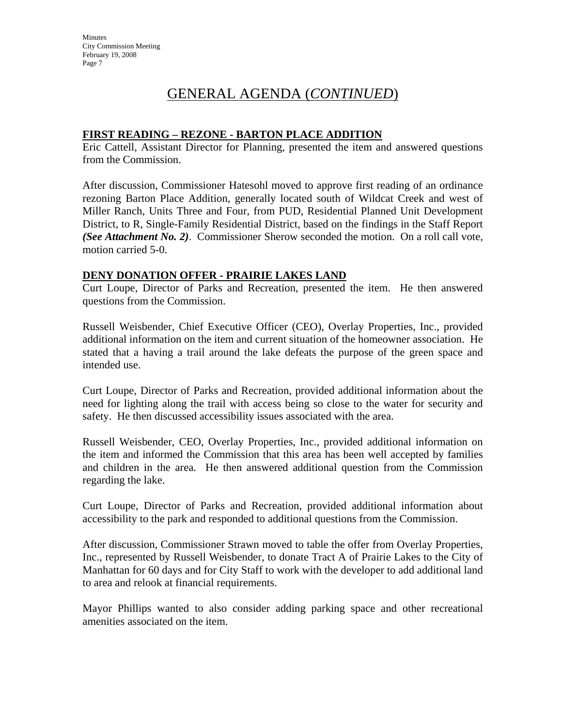**Minutes** City Commission Meeting February 19, 2008 Page 7

# GENERAL AGENDA (*CONTINUED*)

## **FIRST READING – REZONE - BARTON PLACE ADDITION**

Eric Cattell, Assistant Director for Planning, presented the item and answered questions from the Commission.

After discussion, Commissioner Hatesohl moved to approve first reading of an ordinance rezoning Barton Place Addition, generally located south of Wildcat Creek and west of Miller Ranch, Units Three and Four, from PUD, Residential Planned Unit Development District, to R, Single-Family Residential District, based on the findings in the Staff Report *(See Attachment No. 2)*. Commissioner Sherow seconded the motion. On a roll call vote, motion carried 5-0.

## **DENY DONATION OFFER - PRAIRIE LAKES LAND**

Curt Loupe, Director of Parks and Recreation, presented the item. He then answered questions from the Commission.

Russell Weisbender, Chief Executive Officer (CEO), Overlay Properties, Inc., provided additional information on the item and current situation of the homeowner association. He stated that a having a trail around the lake defeats the purpose of the green space and intended use.

Curt Loupe, Director of Parks and Recreation, provided additional information about the need for lighting along the trail with access being so close to the water for security and safety. He then discussed accessibility issues associated with the area.

Russell Weisbender, CEO, Overlay Properties, Inc., provided additional information on the item and informed the Commission that this area has been well accepted by families and children in the area. He then answered additional question from the Commission regarding the lake.

Curt Loupe, Director of Parks and Recreation, provided additional information about accessibility to the park and responded to additional questions from the Commission.

After discussion, Commissioner Strawn moved to table the offer from Overlay Properties, Inc., represented by Russell Weisbender, to donate Tract A of Prairie Lakes to the City of Manhattan for 60 days and for City Staff to work with the developer to add additional land to area and relook at financial requirements.

Mayor Phillips wanted to also consider adding parking space and other recreational amenities associated on the item.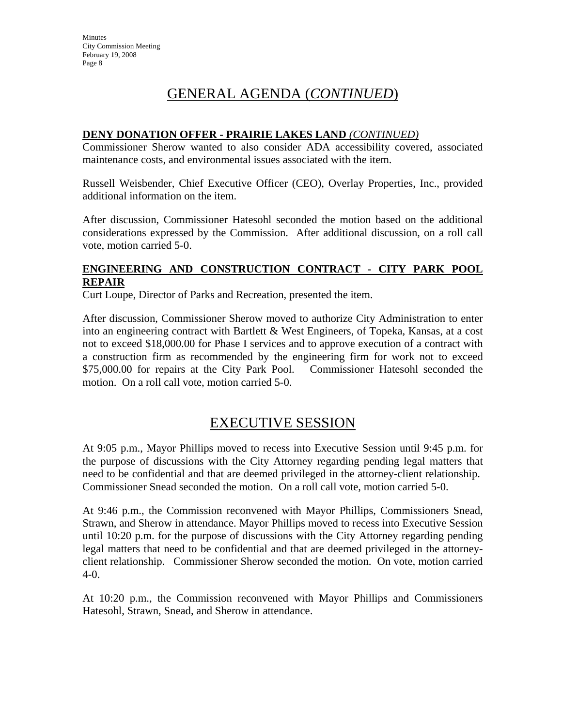# GENERAL AGENDA (*CONTINUED*)

## **DENY DONATION OFFER - PRAIRIE LAKES LAND** *(CONTINUED)*

Commissioner Sherow wanted to also consider ADA accessibility covered, associated maintenance costs, and environmental issues associated with the item.

Russell Weisbender, Chief Executive Officer (CEO), Overlay Properties, Inc., provided additional information on the item.

After discussion, Commissioner Hatesohl seconded the motion based on the additional considerations expressed by the Commission. After additional discussion, on a roll call vote, motion carried 5-0.

## **ENGINEERING AND CONSTRUCTION CONTRACT - CITY PARK POOL REPAIR**

Curt Loupe, Director of Parks and Recreation, presented the item.

After discussion, Commissioner Sherow moved to authorize City Administration to enter into an engineering contract with Bartlett & West Engineers, of Topeka, Kansas, at a cost not to exceed \$18,000.00 for Phase I services and to approve execution of a contract with a construction firm as recommended by the engineering firm for work not to exceed \$75,000.00 for repairs at the City Park Pool. Commissioner Hatesohl seconded the motion. On a roll call vote, motion carried 5-0.

## EXECUTIVE SESSION

At 9:05 p.m., Mayor Phillips moved to recess into Executive Session until 9:45 p.m. for the purpose of discussions with the City Attorney regarding pending legal matters that need to be confidential and that are deemed privileged in the attorney-client relationship. Commissioner Snead seconded the motion. On a roll call vote, motion carried 5-0.

At 9:46 p.m., the Commission reconvened with Mayor Phillips, Commissioners Snead, Strawn, and Sherow in attendance. Mayor Phillips moved to recess into Executive Session until 10:20 p.m. for the purpose of discussions with the City Attorney regarding pending legal matters that need to be confidential and that are deemed privileged in the attorneyclient relationship. Commissioner Sherow seconded the motion. On vote, motion carried 4-0.

At 10:20 p.m., the Commission reconvened with Mayor Phillips and Commissioners Hatesohl, Strawn, Snead, and Sherow in attendance.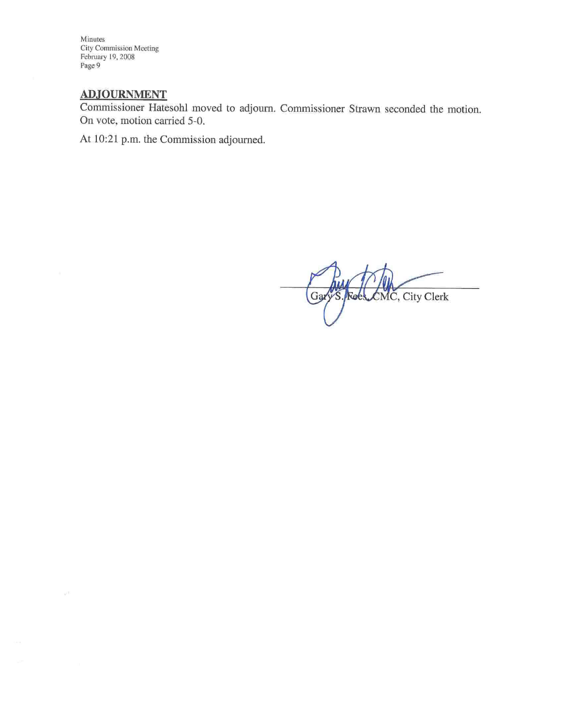Minutes City Commission Meeting February 19, 2008 Page 9

## **ADJOURNMENT**

 $\mathbb{R}^{|\mathcal{X}|}$ 

Commissioner Hatesohl moved to adjourn. Commissioner Strawn seconded the motion. On vote, motion carried 5-0.

At 10:21 p.m. the Commission adjourned.

Gary S. Roes CMC, City Clerk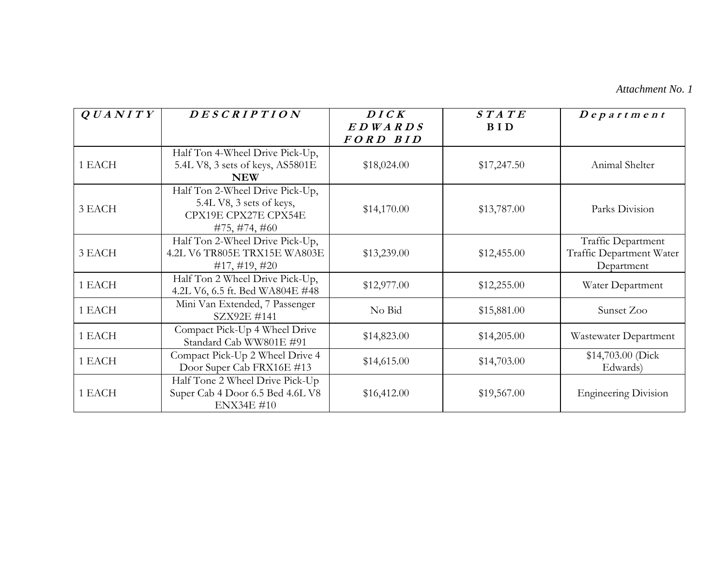#### *Attachment No. 1*

| QUANTY | DESCRIPTION                                                                                          | DICK                | STATE       | $Dep$ artment                                                |
|--------|------------------------------------------------------------------------------------------------------|---------------------|-------------|--------------------------------------------------------------|
|        |                                                                                                      | EDWARDS<br>FORD BID | <b>BID</b>  |                                                              |
| 1 EACH | Half Ton 4-Wheel Drive Pick-Up,<br>5.4L V8, 3 sets of keys, AS5801E<br><b>NEW</b>                    | \$18,024.00         | \$17,247.50 | Animal Shelter                                               |
| 3 EACH | Half Ton 2-Wheel Drive Pick-Up,<br>5.4L V8, 3 sets of keys,<br>CPX19E CPX27E CPX54E<br>#75, #74, #60 | \$14,170.00         | \$13,787.00 | Parks Division                                               |
| 3 EACH | Half Ton 2-Wheel Drive Pick-Up,<br>4.2L V6 TR805E TRX15E WA803E<br>$\#17, \#19, \#20$                | \$13,239.00         | \$12,455.00 | Traffic Department<br>Traffic Department Water<br>Department |
| 1 EACH | Half Ton 2 Wheel Drive Pick-Up,<br>4.2L V6, 6.5 ft. Bed WA804E #48                                   | \$12,977.00         | \$12,255.00 | Water Department                                             |
| 1 EACH | Mini Van Extended, 7 Passenger<br>SZX92E #141                                                        | No Bid              | \$15,881.00 | Sunset Zoo                                                   |
| 1 EACH | Compact Pick-Up 4 Wheel Drive<br>Standard Cab WW801E #91                                             | \$14,823.00         | \$14,205.00 | Wastewater Department                                        |
| 1 EACH | Compact Pick-Up 2 Wheel Drive 4<br>Door Super Cab FRX16E #13                                         | \$14,615.00         | \$14,703.00 | \$14,703.00 (Dick<br>Edwards)                                |
| 1 EACH | Half Tone 2 Wheel Drive Pick-Up<br>Super Cab 4 Door 6.5 Bed 4.6L V8<br><b>ENX34E #10</b>             | \$16,412.00         | \$19,567.00 | <b>Engineering Division</b>                                  |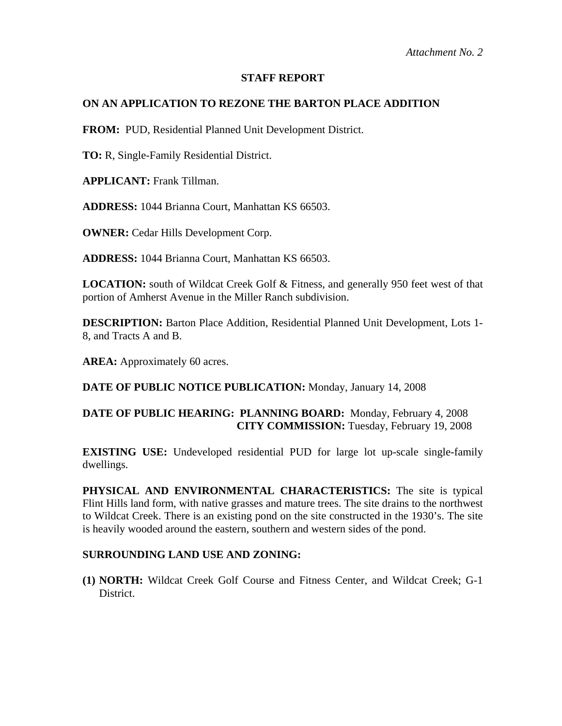### **STAFF REPORT**

## **ON AN APPLICATION TO REZONE THE BARTON PLACE ADDITION**

**FROM:** PUD, Residential Planned Unit Development District.

**TO:** R, Single-Family Residential District.

**APPLICANT:** Frank Tillman.

**ADDRESS:** 1044 Brianna Court, Manhattan KS 66503.

**OWNER:** Cedar Hills Development Corp.

**ADDRESS:** 1044 Brianna Court, Manhattan KS 66503.

**LOCATION:** south of Wildcat Creek Golf & Fitness, and generally 950 feet west of that portion of Amherst Avenue in the Miller Ranch subdivision.

**DESCRIPTION:** Barton Place Addition, Residential Planned Unit Development, Lots 1- 8, and Tracts A and B.

AREA: Approximately 60 acres.

**DATE OF PUBLIC NOTICE PUBLICATION:** Monday, January 14, 2008

## **DATE OF PUBLIC HEARING: PLANNING BOARD:** Monday, February 4, 2008 **CITY COMMISSION:** Tuesday, February 19, 2008

**EXISTING USE:** Undeveloped residential PUD for large lot up-scale single-family dwellings.

**PHYSICAL AND ENVIRONMENTAL CHARACTERISTICS:** The site is typical Flint Hills land form, with native grasses and mature trees. The site drains to the northwest to Wildcat Creek. There is an existing pond on the site constructed in the 1930's. The site is heavily wooded around the eastern, southern and western sides of the pond.

## **SURROUNDING LAND USE AND ZONING:**

**(1) NORTH:** Wildcat Creek Golf Course and Fitness Center, and Wildcat Creek; G-1 District.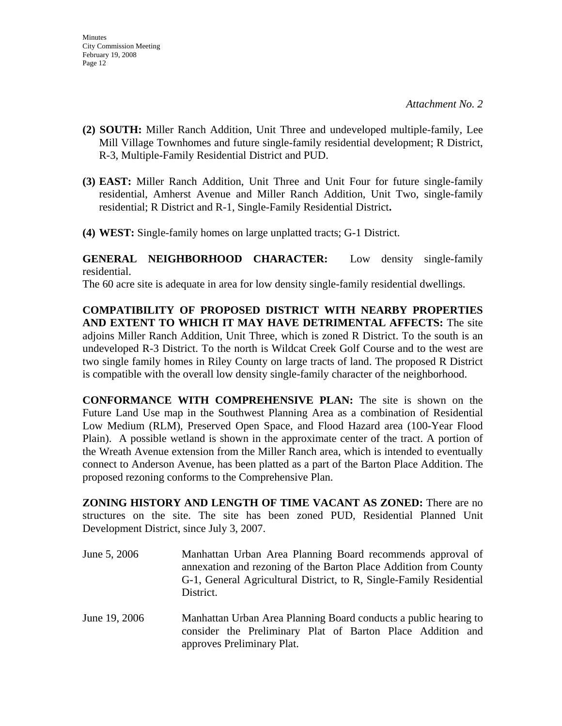*Attachment No. 2* 

- **(2) SOUTH:** Miller Ranch Addition, Unit Three and undeveloped multiple-family, Lee Mill Village Townhomes and future single-family residential development; R District, R-3, Multiple-Family Residential District and PUD.
- **(3) EAST:** Miller Ranch Addition, Unit Three and Unit Four for future single-family residential, Amherst Avenue and Miller Ranch Addition, Unit Two, single-family residential; R District and R-1, Single-Family Residential District**.**
- **(4) WEST:** Single-family homes on large unplatted tracts; G-1 District.

**GENERAL NEIGHBORHOOD CHARACTER:** Low density single-family residential.

The 60 acre site is adequate in area for low density single-family residential dwellings.

**COMPATIBILITY OF PROPOSED DISTRICT WITH NEARBY PROPERTIES AND EXTENT TO WHICH IT MAY HAVE DETRIMENTAL AFFECTS:** The site adjoins Miller Ranch Addition, Unit Three, which is zoned R District. To the south is an undeveloped R-3 District. To the north is Wildcat Creek Golf Course and to the west are two single family homes in Riley County on large tracts of land. The proposed R District is compatible with the overall low density single-family character of the neighborhood.

**CONFORMANCE WITH COMPREHENSIVE PLAN:** The site is shown on the Future Land Use map in the Southwest Planning Area as a combination of Residential Low Medium (RLM), Preserved Open Space, and Flood Hazard area (100-Year Flood Plain). A possible wetland is shown in the approximate center of the tract. A portion of the Wreath Avenue extension from the Miller Ranch area, which is intended to eventually connect to Anderson Avenue, has been platted as a part of the Barton Place Addition. The proposed rezoning conforms to the Comprehensive Plan.

**ZONING HISTORY AND LENGTH OF TIME VACANT AS ZONED:** There are no structures on the site. The site has been zoned PUD, Residential Planned Unit Development District, since July 3, 2007.

- June 5, 2006 Manhattan Urban Area Planning Board recommends approval of annexation and rezoning of the Barton Place Addition from County G-1, General Agricultural District, to R, Single-Family Residential District.
- June 19, 2006 Manhattan Urban Area Planning Board conducts a public hearing to consider the Preliminary Plat of Barton Place Addition and approves Preliminary Plat.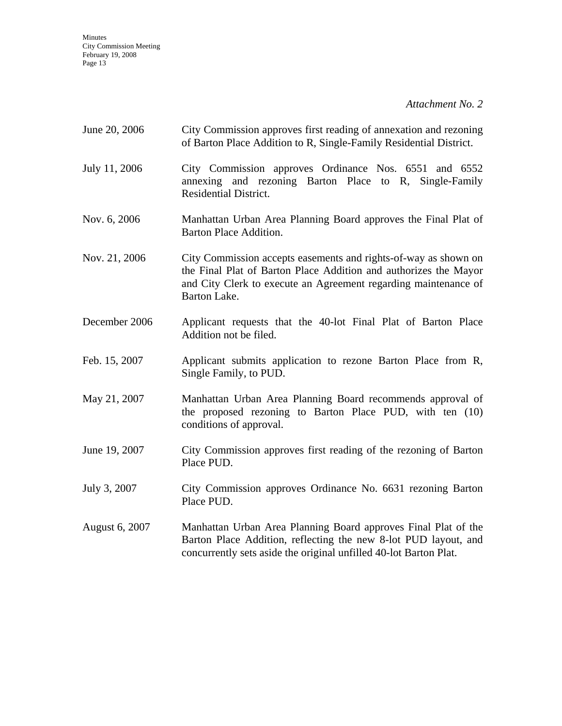Minutes City Commission Meeting February 19, 2008 Page 13

*Attachment No. 2* 

| June 20, 2006  | City Commission approves first reading of annexation and rezoning<br>of Barton Place Addition to R, Single-Family Residential District.                                                                                |  |  |
|----------------|------------------------------------------------------------------------------------------------------------------------------------------------------------------------------------------------------------------------|--|--|
| July 11, 2006  | City Commission approves Ordinance Nos. 6551 and 6552<br>annexing and rezoning Barton Place to R, Single-Family<br><b>Residential District.</b>                                                                        |  |  |
| Nov. 6, 2006   | Manhattan Urban Area Planning Board approves the Final Plat of<br><b>Barton Place Addition.</b>                                                                                                                        |  |  |
| Nov. 21, 2006  | City Commission accepts easements and rights-of-way as shown on<br>the Final Plat of Barton Place Addition and authorizes the Mayor<br>and City Clerk to execute an Agreement regarding maintenance of<br>Barton Lake. |  |  |
| December 2006  | Applicant requests that the 40-lot Final Plat of Barton Place<br>Addition not be filed.                                                                                                                                |  |  |
| Feb. 15, 2007  | Applicant submits application to rezone Barton Place from R,<br>Single Family, to PUD.                                                                                                                                 |  |  |
| May 21, 2007   | Manhattan Urban Area Planning Board recommends approval of<br>the proposed rezoning to Barton Place PUD, with ten (10)<br>conditions of approval.                                                                      |  |  |
| June 19, 2007  | City Commission approves first reading of the rezoning of Barton<br>Place PUD.                                                                                                                                         |  |  |
| July 3, 2007   | City Commission approves Ordinance No. 6631 rezoning Barton<br>Place PUD.                                                                                                                                              |  |  |
| August 6, 2007 | Manhattan Urban Area Planning Board approves Final Plat of the<br>Barton Place Addition, reflecting the new 8-lot PUD layout, and<br>concurrently sets aside the original unfilled 40-lot Barton Plat.                 |  |  |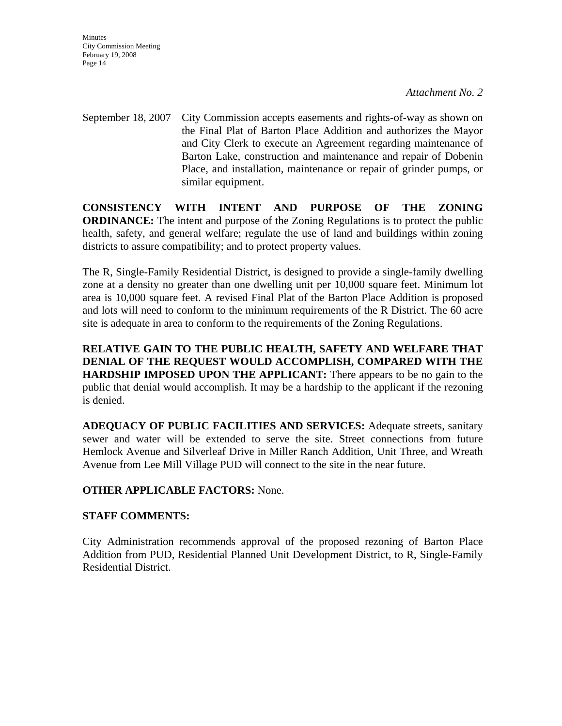**Minutes** City Commission Meeting February 19, 2008 Page 14

*Attachment No. 2* 

September 18, 2007 City Commission accepts easements and rights-of-way as shown on the Final Plat of Barton Place Addition and authorizes the Mayor and City Clerk to execute an Agreement regarding maintenance of Barton Lake, construction and maintenance and repair of Dobenin Place, and installation, maintenance or repair of grinder pumps, or similar equipment.

**CONSISTENCY WITH INTENT AND PURPOSE OF THE ZONING ORDINANCE:** The intent and purpose of the Zoning Regulations is to protect the public health, safety, and general welfare; regulate the use of land and buildings within zoning districts to assure compatibility; and to protect property values.

The R, Single-Family Residential District, is designed to provide a single-family dwelling zone at a density no greater than one dwelling unit per 10,000 square feet. Minimum lot area is 10,000 square feet. A revised Final Plat of the Barton Place Addition is proposed and lots will need to conform to the minimum requirements of the R District. The 60 acre site is adequate in area to conform to the requirements of the Zoning Regulations.

**RELATIVE GAIN TO THE PUBLIC HEALTH, SAFETY AND WELFARE THAT DENIAL OF THE REQUEST WOULD ACCOMPLISH, COMPARED WITH THE HARDSHIP IMPOSED UPON THE APPLICANT:** There appears to be no gain to the public that denial would accomplish. It may be a hardship to the applicant if the rezoning is denied.

**ADEQUACY OF PUBLIC FACILITIES AND SERVICES:** Adequate streets, sanitary sewer and water will be extended to serve the site. Street connections from future Hemlock Avenue and Silverleaf Drive in Miller Ranch Addition, Unit Three, and Wreath Avenue from Lee Mill Village PUD will connect to the site in the near future.

## **OTHER APPLICABLE FACTORS:** None.

## **STAFF COMMENTS:**

City Administration recommends approval of the proposed rezoning of Barton Place Addition from PUD, Residential Planned Unit Development District, to R, Single-Family Residential District.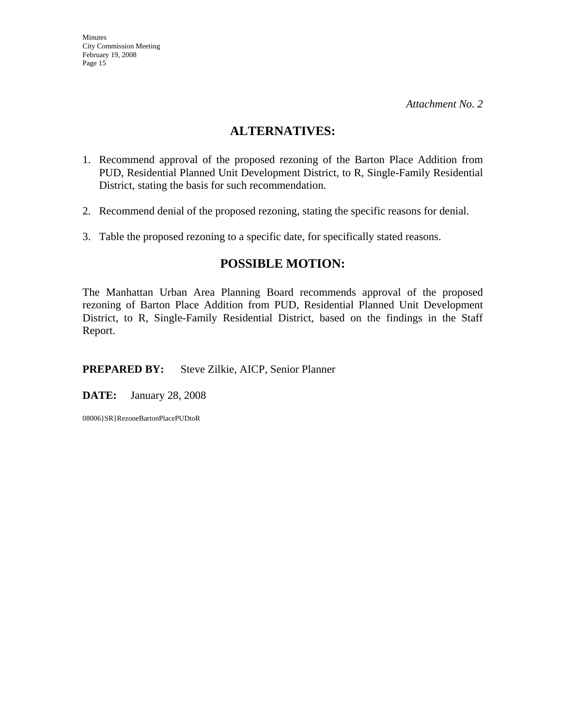*Attachment No. 2* 

## **ALTERNATIVES:**

- 1. Recommend approval of the proposed rezoning of the Barton Place Addition from PUD, Residential Planned Unit Development District, to R, Single-Family Residential District, stating the basis for such recommendation.
- 2. Recommend denial of the proposed rezoning, stating the specific reasons for denial.
- 3. Table the proposed rezoning to a specific date, for specifically stated reasons.

## **POSSIBLE MOTION:**

The Manhattan Urban Area Planning Board recommends approval of the proposed rezoning of Barton Place Addition from PUD, Residential Planned Unit Development District, to R, Single-Family Residential District, based on the findings in the Staff Report.

**PREPARED BY:** Steve Zilkie, AICP, Senior Planner

**DATE:** January 28, 2008

08006}SR}RezoneBartonPlacePUDtoR